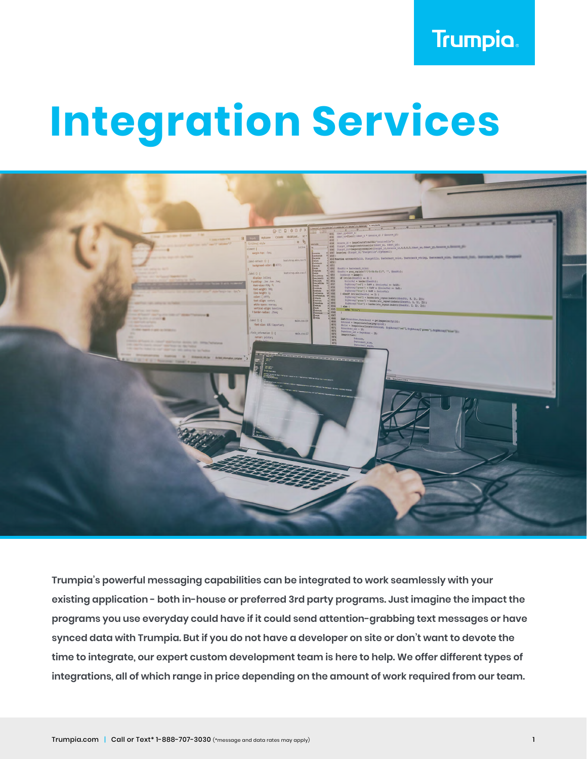# **Trumpia.**

# **Integration Services**



**Trumpia's powerful messaging capabilities can be integrated to work seamlessly with your existing application - both in-house or preferred 3rd party programs. Just imagine the impact the programs you use everyday could have if it could send attention-grabbing text messages or have synced data with Trumpia. But if you do not have a developer on site or don't want to devote the time to integrate, our expert custom development team is here to help. We offer different types of integrations, all of which range in price depending on the amount of work required from our team.**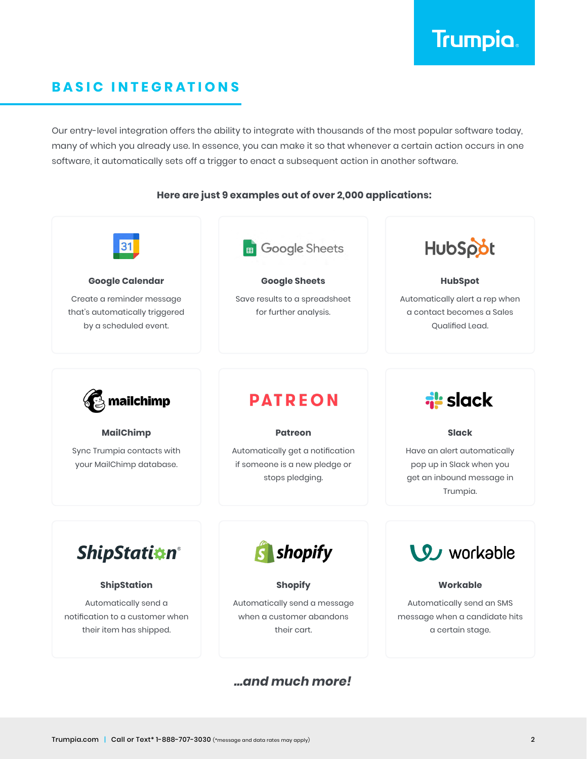

# **BASIC INTEGRATIONS**

Our entry-level integration offers the ability to integrate with thousands of the most popular software today, many of which you already use. In essence, you can make it so that whenever a certain action occurs in one software, it automatically sets off a trigger to enact a subsequent action in another software.

#### **Here are just 9 examples out of over 2,000 applications:**

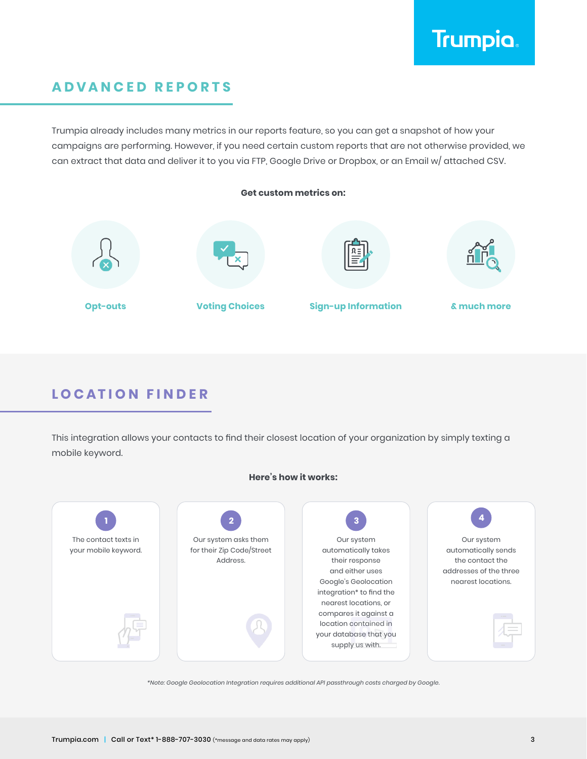

# **ADVANCED REPORTS**

Trumpia already includes many metrics in our reports feature, so you can get a snapshot of how your campaigns are performing. However, if you need certain custom reports that are not otherwise provided, we can extract that data and deliver it to you via FTP, Google Drive or Dropbox, or an Email w/ attached CSV.



# **LOCATION FINDER**

This integration allows your contacts to find their closest location of your organization by simply texting a mobile keyword.



*\*Note: Google Geolocation Integration requires additional API passthrough costs charged by Google.*